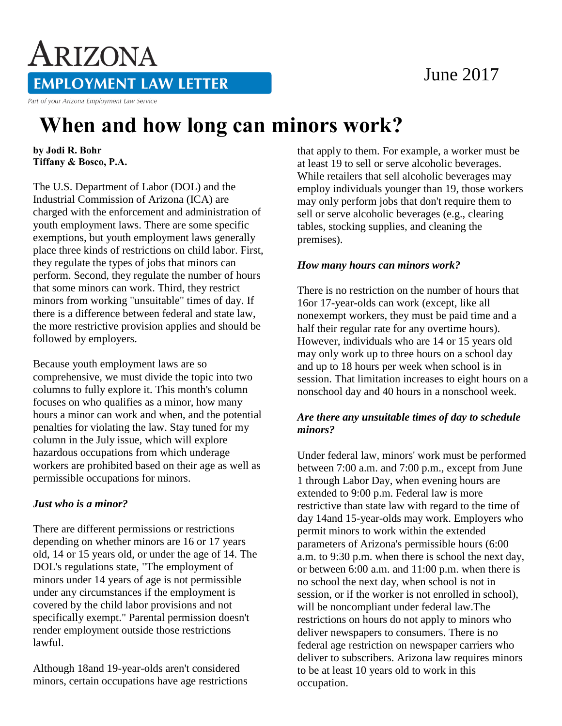### June 2017

# ARIZONA **EMPLOYMENT LAW LETTER**

Part of your Arizona Employment Law Service

## **When and how long can minors work?**

**by Jodi R. Bohr Tiffany & Bosco, P.A.** 

The U.S. Department of Labor (DOL) and the Industrial Commission of Arizona (ICA) are charged with the enforcement and administration of youth employment laws. There are some specific exemptions, but youth employment laws generally place three kinds of restrictions on child labor. First, they regulate the types of jobs that minors can perform. Second, they regulate the number of hours that some minors can work. Third, they restrict minors from working "unsuitable" times of day. If there is a difference between federal and state law, the more restrictive provision applies and should be followed by employers.

Because youth employment laws are so comprehensive, we must divide the topic into two columns to fully explore it. This month's column focuses on who qualifies as a minor, how many hours a minor can work and when, and the potential penalties for violating the law. Stay tuned for my column in the July issue, which will explore hazardous occupations from which underage workers are prohibited based on their age as well as permissible occupations for minors.

#### *Just who is a minor?*

There are different permissions or restrictions depending on whether minors are 16 or 17 years old, 14 or 15 years old, or under the age of 14. The DOL's regulations state, "The employment of minors under 14 years of age is not permissible under any circumstances if the employment is covered by the child labor provisions and not specifically exempt." Parental permission doesn't render employment outside those restrictions lawful.

Although 18and 19-year-olds aren't considered minors, certain occupations have age restrictions that apply to them. For example, a worker must be at least 19 to sell or serve alcoholic beverages. While retailers that sell alcoholic beverages may employ individuals younger than 19, those workers may only perform jobs that don't require them to sell or serve alcoholic beverages (e.g., clearing tables, stocking supplies, and cleaning the premises).

#### *How many hours can minors work?*

There is no restriction on the number of hours that 16or 17-year-olds can work (except, like all nonexempt workers, they must be paid time and a half their regular rate for any overtime hours). However, individuals who are 14 or 15 years old may only work up to three hours on a school day and up to 18 hours per week when school is in session. That limitation increases to eight hours on a nonschool day and 40 hours in a nonschool week.

#### *Are there any unsuitable times of day to schedule minors?*

Under federal law, minors' work must be performed between 7:00 a.m. and 7:00 p.m., except from June 1 through Labor Day, when evening hours are extended to 9:00 p.m. Federal law is more restrictive than state law with regard to the time of day 14and 15-year-olds may work. Employers who permit minors to work within the extended parameters of Arizona's permissible hours (6:00 a.m. to 9:30 p.m. when there is school the next day, or between 6:00 a.m. and 11:00 p.m. when there is no school the next day, when school is not in session, or if the worker is not enrolled in school), will be noncompliant under federal law.The restrictions on hours do not apply to minors who deliver newspapers to consumers. There is no federal age restriction on newspaper carriers who deliver to subscribers. Arizona law requires minors to be at least 10 years old to work in this occupation.